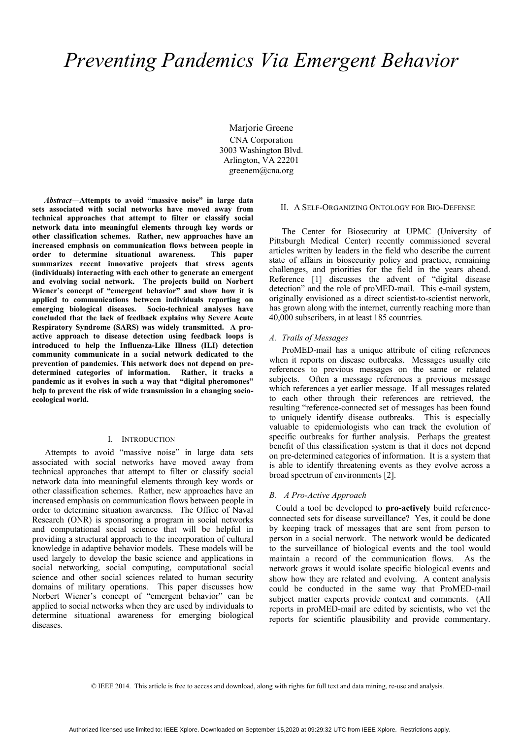# *Preventing Pandemics Via Emergent Behavior*

Mariorie Greene CNA Corporation 3003 Washington Blvd. Arlington, VA 22201 greenem@cna.org

*Abstract***—Attempts to avoid "massive noise" in large data sets associated with social networks have moved away from technical approaches that attempt to filter or classify social network data into meaningful elements through key words or other classification schemes. Rather, new approaches have an increased emphasis on communication flows between people in order to determine situational awareness. This paper summarizes recent innovative projects that stress agents (individuals) interacting with each other to generate an emergent and evolving social network. The projects build on Norbert Wiener's concept of "emergent behavior" and show how it is applied to communications between individuals reporting on emerging biological diseases. Socio-technical analyses have concluded that the lack of feedback explains why Severe Acute Respiratory Syndrome (SARS) was widely transmitted. A proactive approach to disease detection using feedback loops is introduced to help the Influenza-Like Illness (ILI) detection community communicate in a social network dedicated to the prevention of pandemics. This network does not depend on predetermined categories of information. Rather, it tracks a pandemic as it evolves in such a way that "digital pheromones" help to prevent the risk of wide transmission in a changing socioecological world.** 

#### I. INTRODUCTION

Attempts to avoid "massive noise" in large data sets associated with social networks have moved away from technical approaches that attempt to filter or classify social network data into meaningful elements through key words or other classification schemes. Rather, new approaches have an increased emphasis on communication flows between people in order to determine situation awareness. The Office of Naval Research (ONR) is sponsoring a program in social networks and computational social science that will be helpful in providing a structural approach to the incorporation of cultural knowledge in adaptive behavior models. These models will be used largely to develop the basic science and applications in social networking, social computing, computational social science and other social sciences related to human security domains of military operations. This paper discusses how Norbert Wiener's concept of "emergent behavior" can be applied to social networks when they are used by individuals to determine situational awareness for emerging biological diseases.

## II. A SELF-ORGANIZING ONTOLOGY FOR BIO-DEFENSE

The Center for Biosecurity at UPMC (University of Pittsburgh Medical Center) recently commissioned several articles written by leaders in the field who describe the current state of affairs in biosecurity policy and practice, remaining challenges, and priorities for the field in the years ahead. Reference [1] discusses the advent of "digital disease detection" and the role of proMED-mail. This e-mail system, originally envisioned as a direct scientist-to-scientist network, has grown along with the internet, currently reaching more than 40,000 subscribers, in at least 185 countries.

#### *A. Trails of Messages*

ProMED-mail has a unique attribute of citing references when it reports on disease outbreaks. Messages usually cite references to previous messages on the same or related subjects. Often a message references a previous message which references a yet earlier message. If all messages related to each other through their references are retrieved, the resulting "reference-connected set of messages has been found to uniquely identify disease outbreaks. This is especially valuable to epidemiologists who can track the evolution of specific outbreaks for further analysis. Perhaps the greatest benefit of this classification system is that it does not depend on pre-determined categories of information. It is a system that is able to identify threatening events as they evolve across a broad spectrum of environments [2].

#### *B. A Pro-Active Approach*

Could a tool be developed to **pro-actively** build referenceconnected sets for disease surveillance? Yes, it could be done by keeping track of messages that are sent from person to person in a social network. The network would be dedicated to the surveillance of biological events and the tool would maintain a record of the communication flows. As the network grows it would isolate specific biological events and show how they are related and evolving. A content analysis could be conducted in the same way that ProMED-mail subject matter experts provide context and comments. (All reports in proMED-mail are edited by scientists, who vet the reports for scientific plausibility and provide commentary.

© IEEE 2014. This article is free to access and download, along with rights for full text and data mining, re-use and analysis.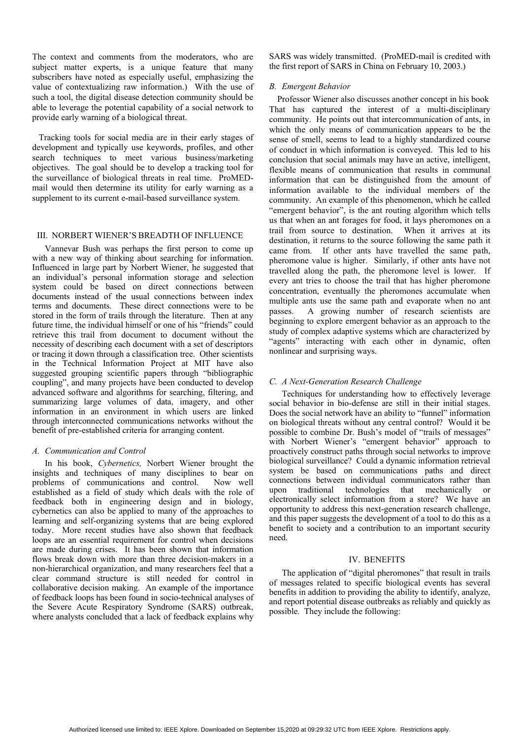The context and comments from the moderators, who are subject matter experts, is a unique feature that many subscribers have noted as especially useful, emphasizing the value of contextualizing raw information.) With the use of such a tool, the digital disease detection community should be able to leverage the potential capability of a social network to provide early warning of a biological threat.

Tracking tools for social media are in their early stages of development and typically use keywords, profiles, and other search techniques to meet various business/marketing objectives. The goal should be to develop a tracking tool for the surveillance of biological threats in real time. ProMEDmail would then determine its utility for early warning as a supplement to its current e-mail-based surveillance system.

### III. NORBERT WIENER'S BREADTH OF INFLUENCE

Vannevar Bush was perhaps the first person to come up with a new way of thinking about searching for information. Influenced in large part by Norbert Wiener, he suggested that an individual's personal information storage and selection system could be based on direct connections between documents instead of the usual connections between index terms and documents. These direct connections were to be stored in the form of trails through the literature. Then at any future time, the individual himself or one of his "friends" could retrieve this trail from document to document without the necessity of describing each document with a set of descriptors or tracing it down through a classification tree. Other scientists in the Technical Information Project at MIT have also suggested grouping scientific papers through "bibliographic coupling", and many projects have been conducted to develop advanced software and algorithms for searching, filtering, and summarizing large volumes of data, imagery, and other information in an environment in which users are linked through interconnected communications networks without the benefit of pre-established criteria for arranging content.

## *A. Communication and Control*

In his book, *Cybernetics,* Norbert Wiener brought the insights and techniques of many disciplines to bear on problems of communications and control. Now well established as a field of study which deals with the role of feedback both in engineering design and in biology, cybernetics can also be applied to many of the approaches to learning and self-organizing systems that are being explored today. More recent studies have also shown that feedback loops are an essential requirement for control when decisions are made during crises. It has been shown that information flows break down with more than three decision-makers in a non-hierarchical organization, and many researchers feel that a clear command structure is still needed for control in collaborative decision making. An example of the importance of feedback loops has been found in socio-technical analyses of the Severe Acute Respiratory Syndrome (SARS) outbreak, where analysts concluded that a lack of feedback explains why

SARS was widely transmitted. (ProMED-mail is credited with the first report of SARS in China on February 10, 2003.)

## *B. Emergent Behavior*

Professor Wiener also discusses another concept in his book That has captured the interest of a multi-disciplinary community. He points out that intercommunication of ants, in which the only means of communication appears to be the sense of smell, seems to lead to a highly standardized course of conduct in which information is conveyed. This led to his conclusion that social animals may have an active, intelligent, flexible means of communication that results in communal information that can be distinguished from the amount of information available to the individual members of the community. An example of this phenomenon, which he called "emergent behavior", is the ant routing algorithm which tells us that when an ant forages for food, it lays pheromones on a trail from source to destination. When it arrives at its destination, it returns to the source following the same path it came from. If other ants have travelled the same path, pheromone value is higher. Similarly, if other ants have not travelled along the path, the pheromone level is lower. If every ant tries to choose the trail that has higher pheromone concentration, eventually the pheromones accumulate when multiple ants use the same path and evaporate when no ant passes. A growing number of research scientists are beginning to explore emergent behavior as an approach to the study of complex adaptive systems which are characterized by "agents" interacting with each other in dynamic, often nonlinear and surprising ways.

## *C. A Next-Generation Research Challenge*

Techniques for understanding how to effectively leverage social behavior in bio-defense are still in their initial stages. Does the social network have an ability to "funnel" information on biological threats without any central control? Would it be possible to combine Dr. Bush's model of "trails of messages" with Norbert Wiener's "emergent behavior" approach to proactively construct paths through social networks to improve biological surveillance? Could a dynamic information retrieval system be based on communications paths and direct connections between individual communicators rather than upon traditional technologies that mechanically or electronically select information from a store? We have an opportunity to address this next-generation research challenge, and this paper suggests the development of a tool to do this as a benefit to society and a contribution to an important security need.

#### IV. BENEFITS

The application of "digital pheromones" that result in trails of messages related to specific biological events has several benefits in addition to providing the ability to identify, analyze, and report potential disease outbreaks as reliably and quickly as possible. They include the following: